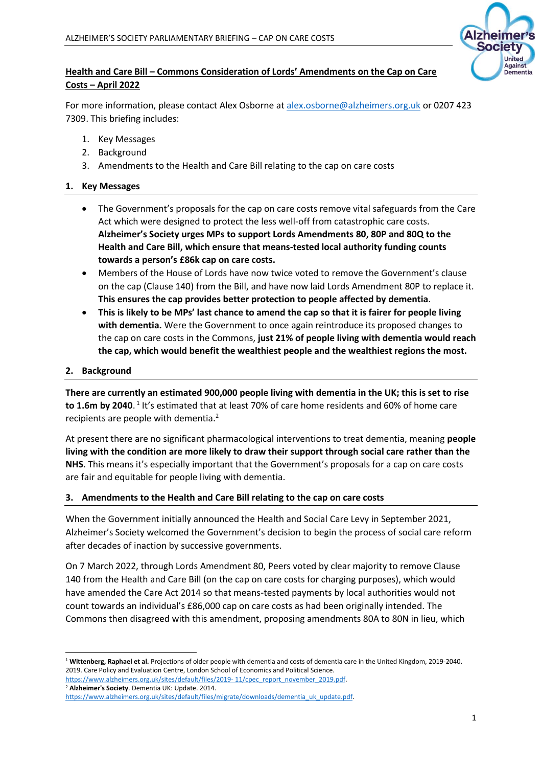

# **Health and Care Bill – Commons Consideration of Lords' Amendments on the Cap on Care Costs – April 2022**

For more information, please contact Alex Osborne at [alex.osborne@alzheimers.org.uk](mailto:alex.osborne@alzheimers.org.uk) or 0207 423 7309. This briefing includes:

- 1. Key Messages
- 2. Background
- 3. Amendments to the Health and Care Bill relating to the cap on care costs

### **1. Key Messages**

- The Government's proposals for the cap on care costs remove vital safeguards from the Care Act which were designed to protect the less well-off from catastrophic care costs. **Alzheimer's Society urges MPs to support Lords Amendments 80, 80P and 80Q to the Health and Care Bill, which ensure that means-tested local authority funding counts towards a person's £86k cap on care costs.**
- Members of the House of Lords have now twice voted to remove the Government's clause on the cap (Clause 140) from the Bill, and have now laid Lords Amendment 80P to replace it. **This ensures the cap provides better protection to people affected by dementia**.
- **This is likely to be MPs' last chance to amend the cap so that it is fairer for people living with dementia.** Were the Government to once again reintroduce its proposed changes to the cap on care costs in the Commons, **just 21% of people living with dementia would reach the cap, which would benefit the wealthiest people and the wealthiest regions the most.**

#### **2. Background**

**There are currently an estimated 900,000 people living with dementia in the UK; this is set to rise**  to 1.6m by 2040.<sup>1</sup> It's estimated that at least 70% of care home residents and 60% of home care recipients are people with dementia.<sup>2</sup>

At present there are no significant pharmacological interventions to treat dementia, meaning **people living with the condition are more likely to draw their support through social care rather than the NHS**. This means it's especially important that the Government's proposals for a cap on care costs are fair and equitable for people living with dementia.

#### **3. Amendments to the Health and Care Bill relating to the cap on care costs**

When the Government initially announced the Health and Social Care Levy in September 2021, Alzheimer's Society welcomed the Government's decision to begin the process of social care reform after decades of inaction by successive governments.

On 7 March 2022, through Lords Amendment 80, Peers voted by clear majority to remove Clause 140 from the Health and Care Bill (on the cap on care costs for charging purposes), which would have amended the Care Act 2014 so that means-tested payments by local authorities would not count towards an individual's £86,000 cap on care costs as had been originally intended. The Commons then disagreed with this amendment, proposing amendments 80A to 80N in lieu, which

<sup>1</sup> **Wittenberg, Raphael et al.** Projections of older people with dementia and costs of dementia care in the United Kingdom, 2019-2040. 2019. Care Policy and Evaluation Centre, London School of Economics and Political Science.

[https://www.alzheimers.org.uk/sites/default/files/2019-](https://www.alzheimers.org.uk/sites/default/files/2019-%2011/cpec_report_november_2019.pdf)11/cpec\_report\_november\_2019.pdf. <sup>2</sup> **Alzheimer's Society**. Dementia UK: Update. 2014.

[https://www.alzheimers.org.uk/sites/default/files/migrate/downloads/dementia\\_uk\\_update.pdf.](https://www.alzheimers.org.uk/sites/default/files/migrate/downloads/dementia_uk_update.pdf)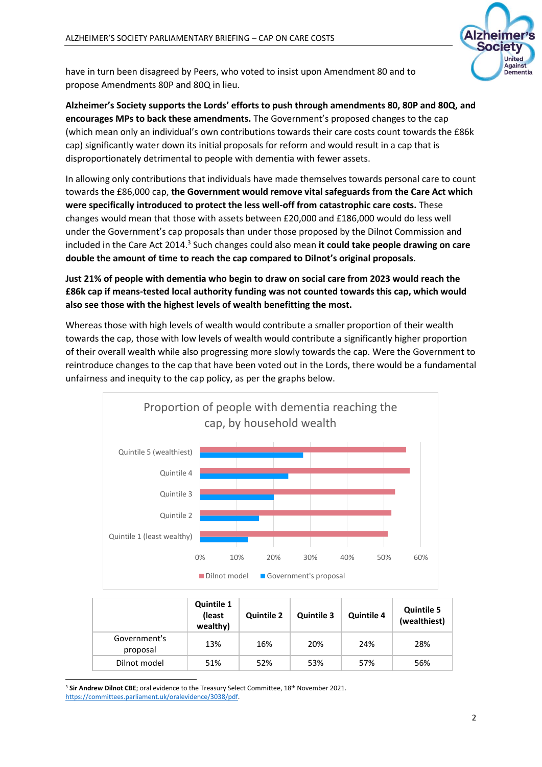

have in turn been disagreed by Peers, who voted to insist upon Amendment 80 and to propose Amendments 80P and 80Q in lieu.

**Alzheimer's Society supports the Lords' efforts to push through amendments 80, 80P and 80Q, and encourages MPs to back these amendments.** The Government's proposed changes to the cap (which mean only an individual's own contributions towards their care costs count towards the £86k cap) significantly water down its initial proposals for reform and would result in a cap that is disproportionately detrimental to people with dementia with fewer assets.

In allowing only contributions that individuals have made themselves towards personal care to count towards the £86,000 cap, **the Government would remove vital safeguards from the Care Act which were specifically introduced to protect the less well-off from catastrophic care costs.** These changes would mean that those with assets between £20,000 and £186,000 would do less well under the Government's cap proposals than under those proposed by the Dilnot Commission and included in the Care Act 2014.<sup>3</sup> Such changes could also mean it could take people drawing on care **double the amount of time to reach the cap compared to Dilnot's original proposals**.

# **Just 21% of people with dementia who begin to draw on social care from 2023 would reach the £86k cap if means-tested local authority funding was not counted towards this cap, which would also see those with the highest levels of wealth benefitting the most.**

Whereas those with high levels of wealth would contribute a smaller proportion of their wealth towards the cap, those with low levels of wealth would contribute a significantly higher proportion of their overall wealth while also progressing more slowly towards the cap. Were the Government to reintroduce changes to the cap that have been voted out in the Lords, there would be a fundamental unfairness and inequity to the cap policy, as per the graphs below.



|                          | <b>Quintile 1</b><br>(least<br>wealthy) | <b>Quintile 2</b> | <b>Quintile 3</b> | <b>Quintile 4</b> | <b>Quintile 5</b><br>(wealthiest) |
|--------------------------|-----------------------------------------|-------------------|-------------------|-------------------|-----------------------------------|
| Government's<br>proposal | 13%                                     | 16%               | 20%               | 24%               | 28%                               |
| Dilnot model             | 51%                                     | 52%               | 53%               | 57%               | 56%                               |

<sup>3</sup> Sir Andrew Dilnot CBE; oral evidence to the Treasury Select Committee, 18<sup>th</sup> November 2021. [https://committees.parliament.uk/oralevidence/3038/pdf.](https://committees.parliament.uk/oralevidence/3038/pdf)